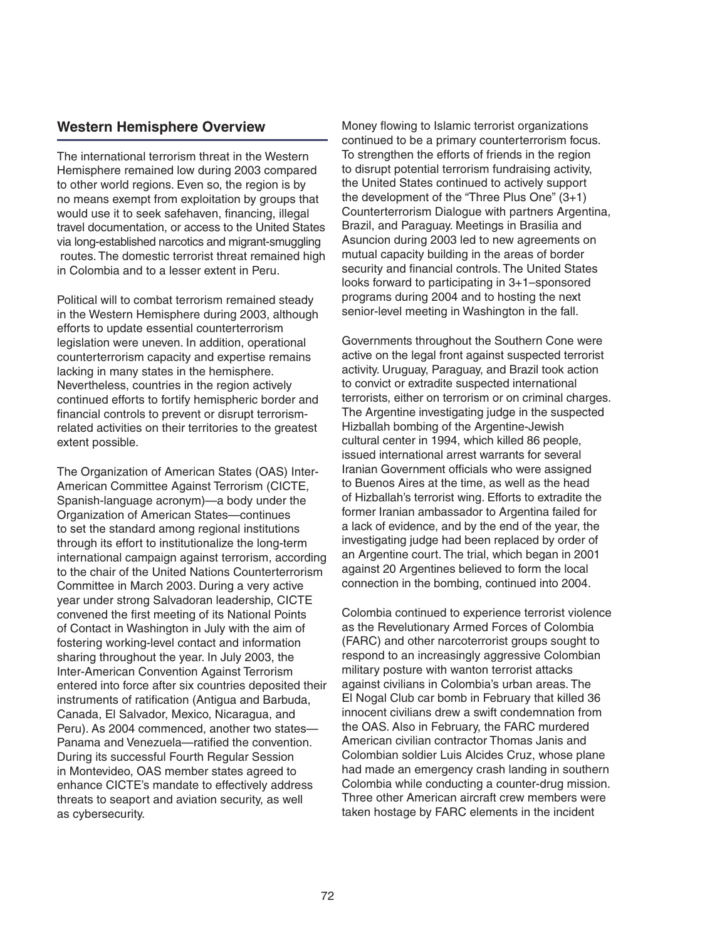## **Western Hemisphere Overview**

The international terrorism threat in the Western Hemisphere remained low during 2003 compared to other world regions. Even so, the region is by no means exempt from exploitation by groups that would use it to seek safehaven, financing, illegal travel documentation, or access to the United States via long-established narcotics and migrant-smuggling routes. The domestic terrorist threat remained high in Colombia and to a lesser extent in Peru.

Political will to combat terrorism remained steady in the Western Hemisphere during 2003, although efforts to update essential counterterrorism legislation were uneven. In addition, operational counterterrorism capacity and expertise remains lacking in many states in the hemisphere. Nevertheless, countries in the region actively continued efforts to fortify hemispheric border and financial controls to prevent or disrupt terrorismrelated activities on their territories to the greatest extent possible.

The Organization of American States (OAS) Inter-American Committee Against Terrorism (CICTE, Spanish-language acronym)—a body under the Organization of American States—continues to set the standard among regional institutions through its effort to institutionalize the long-term international campaign against terrorism, according to the chair of the United Nations Counterterrorism Committee in March 2003. During a very active year under strong Salvadoran leadership, CICTE convened the first meeting of its National Points of Contact in Washington in July with the aim of fostering working-level contact and information sharing throughout the year. In July 2003, the Inter-American Convention Against Terrorism entered into force after six countries deposited their instruments of ratification (Antigua and Barbuda, Canada, El Salvador, Mexico, Nicaragua, and Peru). As 2004 commenced, another two states— Panama and Venezuela—ratified the convention. During its successful Fourth Regular Session in Montevideo, OAS member states agreed to enhance CICTE's mandate to effectively address threats to seaport and aviation security, as well as cybersecurity.

Money flowing to Islamic terrorist organizations continued to be a primary counterterrorism focus. To strengthen the efforts of friends in the region to disrupt potential terrorism fundraising activity, the United States continued to actively support the development of the "Three Plus One" (3+1) Counterterrorism Dialogue with partners Argentina, Brazil, and Paraguay. Meetings in Brasilia and Asuncion during 2003 led to new agreements on mutual capacity building in the areas of border security and financial controls. The United States looks forward to participating in 3+1–sponsored programs during 2004 and to hosting the next senior-level meeting in Washington in the fall.

Governments throughout the Southern Cone were active on the legal front against suspected terrorist activity. Uruguay, Paraguay, and Brazil took action to convict or extradite suspected international terrorists, either on terrorism or on criminal charges. The Argentine investigating judge in the suspected Hizballah bombing of the Argentine-Jewish cultural center in 1994, which killed 86 people, issued international arrest warrants for several Iranian Government officials who were assigned to Buenos Aires at the time, as well as the head of Hizballah's terrorist wing. Efforts to extradite the former Iranian ambassador to Argentina failed for a lack of evidence, and by the end of the year, the investigating judge had been replaced by order of an Argentine court. The trial, which began in 2001 against 20 Argentines believed to form the local connection in the bombing, continued into 2004.

Colombia continued to experience terrorist violence as the Revelutionary Armed Forces of Colombia (FARC) and other narcoterrorist groups sought to respond to an increasingly aggressive Colombian military posture with wanton terrorist attacks against civilians in Colombia's urban areas. The El Nogal Club car bomb in February that killed 36 innocent civilians drew a swift condemnation from the OAS. Also in February, the FARC murdered American civilian contractor Thomas Janis and Colombian soldier Luis Alcides Cruz, whose plane had made an emergency crash landing in southern Colombia while conducting a counter-drug mission. Three other American aircraft crew members were taken hostage by FARC elements in the incident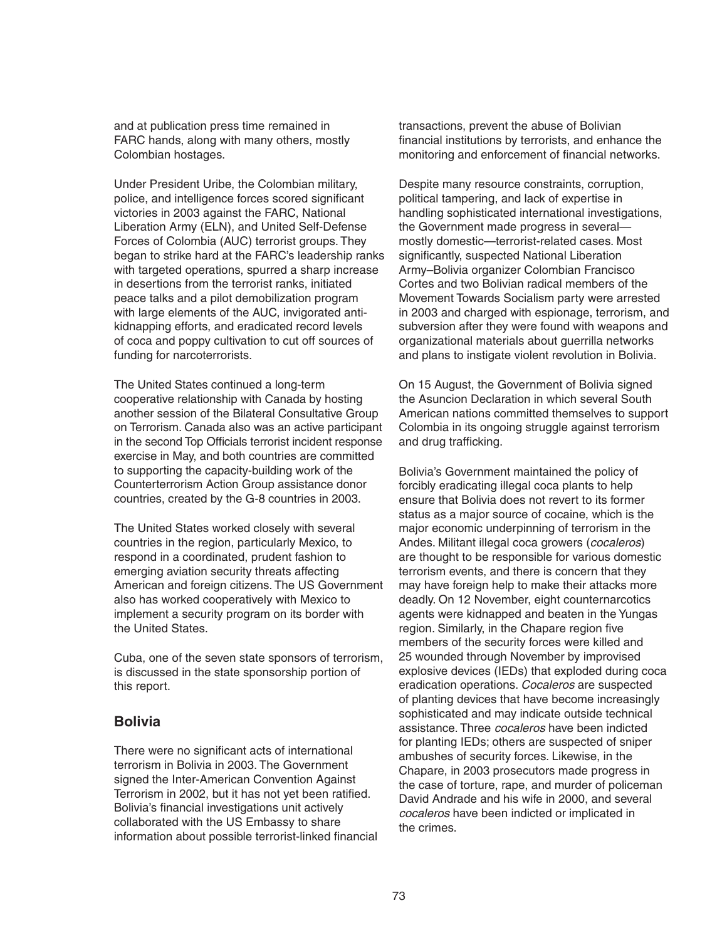and at publication press time remained in FARC hands, along with many others, mostly Colombian hostages.

Under President Uribe, the Colombian military, police, and intelligence forces scored significant victories in 2003 against the FARC, National Liberation Army (ELN), and United Self-Defense Forces of Colombia (AUC) terrorist groups. They began to strike hard at the FARC's leadership ranks with targeted operations, spurred a sharp increase in desertions from the terrorist ranks, initiated peace talks and a pilot demobilization program with large elements of the AUC, invigorated antikidnapping efforts, and eradicated record levels of coca and poppy cultivation to cut off sources of funding for narcoterrorists.

The United States continued a long-term cooperative relationship with Canada by hosting another session of the Bilateral Consultative Group on Terrorism. Canada also was an active participant in the second Top Officials terrorist incident response exercise in May, and both countries are committed to supporting the capacity-building work of the Counterterrorism Action Group assistance donor countries, created by the G-8 countries in 2003.

The United States worked closely with several countries in the region, particularly Mexico, to respond in a coordinated, prudent fashion to emerging aviation security threats affecting American and foreign citizens. The US Government also has worked cooperatively with Mexico to implement a security program on its border with the United States.

Cuba, one of the seven state sponsors of terrorism, is discussed in the state sponsorship portion of this report.

### **Bolivia**

There were no significant acts of international terrorism in Bolivia in 2003. The Government signed the Inter-American Convention Against Terrorism in 2002, but it has not yet been ratified. Bolivia's financial investigations unit actively collaborated with the US Embassy to share information about possible terrorist-linked financial transactions, prevent the abuse of Bolivian financial institutions by terrorists, and enhance the monitoring and enforcement of financial networks.

Despite many resource constraints, corruption, political tampering, and lack of expertise in handling sophisticated international investigations, the Government made progress in several mostly domestic—terrorist-related cases. Most significantly, suspected National Liberation Army–Bolivia organizer Colombian Francisco Cortes and two Bolivian radical members of the Movement Towards Socialism party were arrested in 2003 and charged with espionage, terrorism, and subversion after they were found with weapons and organizational materials about guerrilla networks and plans to instigate violent revolution in Bolivia.

On 15 August, the Government of Bolivia signed the Asuncion Declaration in which several South American nations committed themselves to support Colombia in its ongoing struggle against terrorism and drug trafficking.

Bolivia's Government maintained the policy of forcibly eradicating illegal coca plants to help ensure that Bolivia does not revert to its former status as a major source of cocaine, which is the major economic underpinning of terrorism in the Andes. Militant illegal coca growers (cocaleros) are thought to be responsible for various domestic terrorism events, and there is concern that they may have foreign help to make their attacks more deadly. On 12 November, eight counternarcotics agents were kidnapped and beaten in the Yungas region. Similarly, in the Chapare region five members of the security forces were killed and 25 wounded through November by improvised explosive devices (IEDs) that exploded during coca eradication operations. Cocaleros are suspected of planting devices that have become increasingly sophisticated and may indicate outside technical assistance. Three *cocaleros* have been indicted for planting IEDs; others are suspected of sniper ambushes of security forces. Likewise, in the Chapare, in 2003 prosecutors made progress in the case of torture, rape, and murder of policeman David Andrade and his wife in 2000, and several cocaleros have been indicted or implicated in the crimes.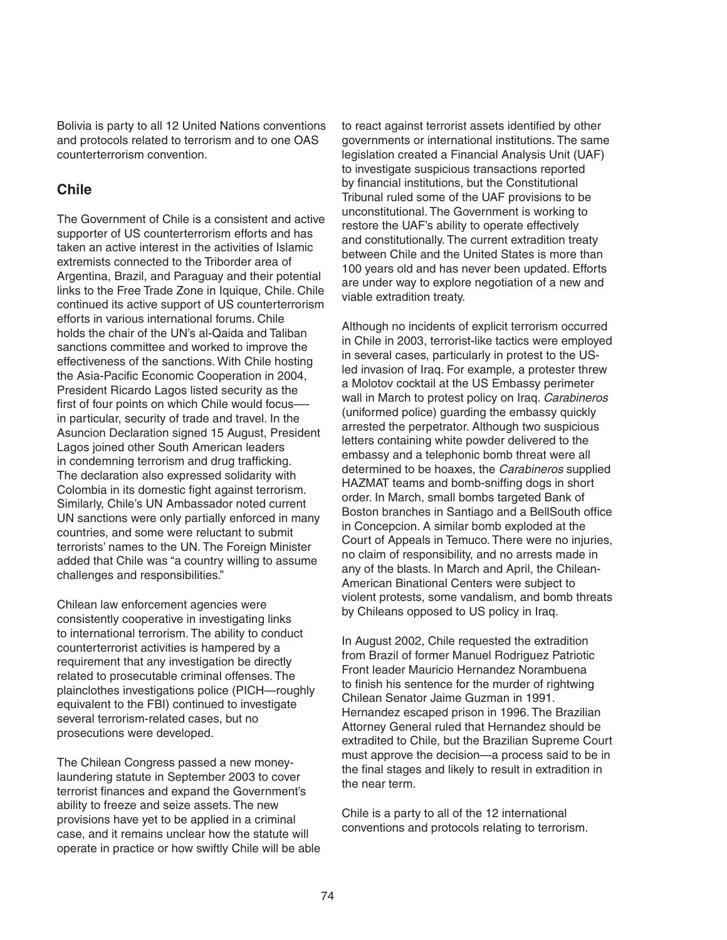Bolivia is party to all 12 United Nations conventions and protocols related to terrorism and to one OAS counterterrorism convention.

## **Chile**

The Government of Chile is a consistent and active supporter of US counterterrorism efforts and has taken an active interest in the activities of Islamic extremists connected to the Triborder area of Argentina, Brazil, and Paraguay and their potential links to the Free Trade Zone in Iquique, Chile. Chile continued its active support of US counterterrorism efforts in various international forums. Chile holds the chair of the UN's al-Qaida and Taliban sanctions committee and worked to improve the effectiveness of the sanctions. With Chile hosting the Asia-Pacific Economic Cooperation in 2004. President Ricardo Lagos listed security as the first of four points on which Chile would focusin particular, security of trade and travel. In the Asuncion Declaration signed 15 August, President Lagos joined other South American leaders in condemning terrorism and drug trafficking. The declaration also expressed solidarity with Colombia in its domestic fight against terrorism. Similarly, Chile's UN Ambassador noted current UN sanctions were only partially enforced in many countries, and some were reluctant to submit terrorists' names to the UN. The Foreign Minister added that Chile was "a country willing to assume challenges and responsibilities."

Chilean law enforcement agencies were consistently cooperative in investigating links to international terrorism. The ability to conduct counterterrorist activities is hampered by a requirement that any investigation be directly related to prosecutable criminal offenses. The plainclothes investigations police (PICH—roughly equivalent to the FBI) continued to investigate several terrorism-related cases, but no prosecutions were developed.

The Chilean Congress passed a new moneylaundering statute in September 2003 to cover terrorist finances and expand the Government's ability to freeze and seize assets. The new provisions have yet to be applied in a criminal case, and it remains unclear how the statute will operate in practice or how swiftly Chile will be able to react against terrorist assets identified by other governments or international institutions. The same legislation created a Financial Analysis Unit (UAF) to investigate suspicious transactions reported by financial institutions, but the Constitutional Tribunal ruled some of the UAF provisions to be unconstitutional. The Government is working to restore the UAF's ability to operate effectively and constitutionally. The current extradition treaty between Chile and the United States is more than 100 years old and has never been updated. Efforts are under way to explore negotiation of a new and viable extradition treaty.

Although no incidents of explicit terrorism occurred in Chile in 2003, terrorist-like tactics were employed in several cases, particularly in protest to the USled invasion of Iraq. For example, a protester threw a Molotov cocktail at the US Embassy perimeter wall in March to protest policy on Iraq. Carabineros (uniformed police) guarding the embassy quickly arrested the perpetrator. Although two suspicious letters containing white powder delivered to the embassy and a telephonic bomb threat were all determined to be hoaxes, the Carabineros supplied HAZMAT teams and bomb-sniffing dogs in short order. In March, small bombs targeted Bank of Boston branches in Santiago and a BellSouth office in Concepcion. A similar bomb exploded at the Court of Appeals in Temuco. There were no injuries, no claim of responsibility, and no arrests made in any of the blasts. In March and April, the Chilean-American Binational Centers were subject to violent protests, some vandalism, and bomb threats by Chileans opposed to US policy in Iraq.

In August 2002, Chile requested the extradition from Brazil of former Manuel Rodriguez Patriotic Front leader Mauricio Hernandez Norambuena to finish his sentence for the murder of rightwing Chilean Senator Jaime Guzman in 1991. Hernandez escaped prison in 1996. The Brazilian Attorney General ruled that Hernandez should be extradited to Chile, but the Brazilian Supreme Court must approve the decision—a process said to be in the final stages and likely to result in extradition in the near term.

Chile is a party to all of the 12 international conventions and protocols relating to terrorism.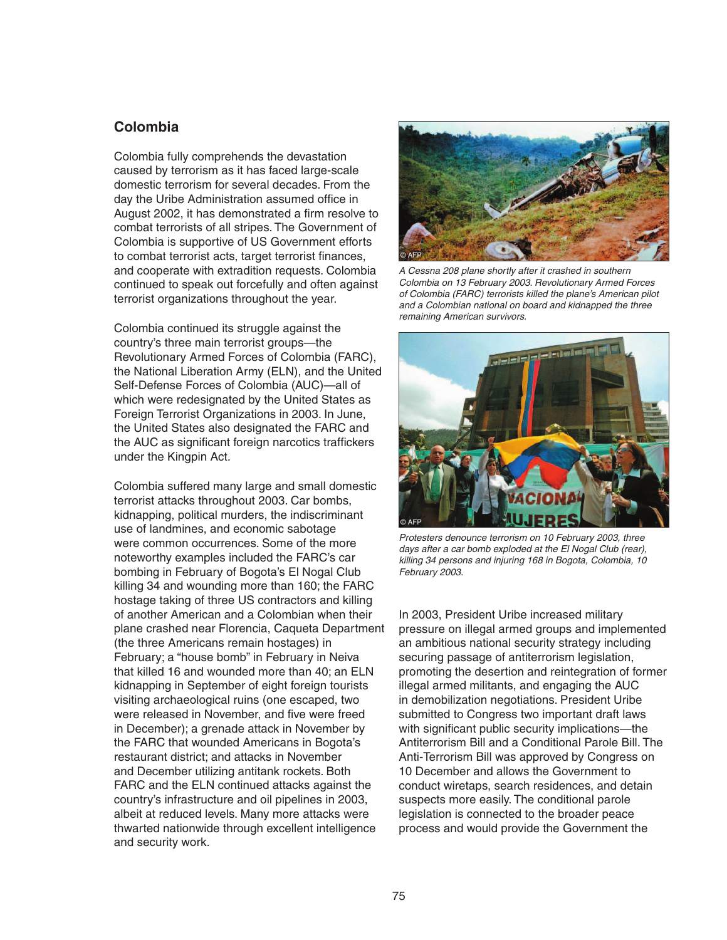### **Colombia**

Colombia fully comprehends the devastation caused by terrorism as it has faced large-scale domestic terrorism for several decades. From the day the Uribe Administration assumed office in August 2002, it has demonstrated a firm resolve to combat terrorists of all stripes. The Government of Colombia is supportive of US Government efforts to combat terrorist acts, target terrorist finances, and cooperate with extradition requests. Colombia continued to speak out forcefully and often against terrorist organizations throughout the year.

Colombia continued its struggle against the country's three main terrorist groups—the Revolutionary Armed Forces of Colombia (FARC), the National Liberation Army (ELN), and the United Self-Defense Forces of Colombia (AUC)—all of which were redesignated by the United States as Foreign Terrorist Organizations in 2003. In June, the United States also designated the FARC and the AUC as significant foreign narcotics traffickers under the Kingpin Act.

Colombia suffered many large and small domestic terrorist attacks throughout 2003. Car bombs, kidnapping, political murders, the indiscriminant use of landmines, and economic sabotage were common occurrences. Some of the more noteworthy examples included the FARC's car bombing in February of Bogota's El Nogal Club killing 34 and wounding more than 160; the FARC hostage taking of three US contractors and killing of another American and a Colombian when their plane crashed near Florencia, Caqueta Department (the three Americans remain hostages) in February; a "house bomb" in February in Neiva that killed 16 and wounded more than 40; an ELN kidnapping in September of eight foreign tourists visiting archaeological ruins (one escaped, two were released in November, and five were freed in December); a grenade attack in November by the FARC that wounded Americans in Bogota's restaurant district; and attacks in November and December utilizing antitank rockets. Both FARC and the ELN continued attacks against the country's infrastructure and oil pipelines in 2003, albeit at reduced levels. Many more attacks were thwarted nationwide through excellent intelligence and security work.



A Cessna 208 plane shortly after it crashed in southern Colombia on 13 February 2003. Revolutionary Armed Forces of Colombia (FARC) terrorists killed the plane's American pilot and a Colombian national on board and kidnapped the three remaining American survivors.



Protesters denounce terrorism on 10 February 2003, three days after a car bomb exploded at the El Nogal Club (rear), killing 34 persons and injuring 168 in Bogota, Colombia, 10 February 2003.

In 2003, President Uribe increased military pressure on illegal armed groups and implemented an ambitious national security strategy including securing passage of antiterrorism legislation, promoting the desertion and reintegration of former illegal armed militants, and engaging the AUC in demobilization negotiations. President Uribe submitted to Congress two important draft laws with significant public security implications—the Antiterrorism Bill and a Conditional Parole Bill. The Anti-Terrorism Bill was approved by Congress on 10 December and allows the Government to conduct wiretaps, search residences, and detain suspects more easily. The conditional parole legislation is connected to the broader peace process and would provide the Government the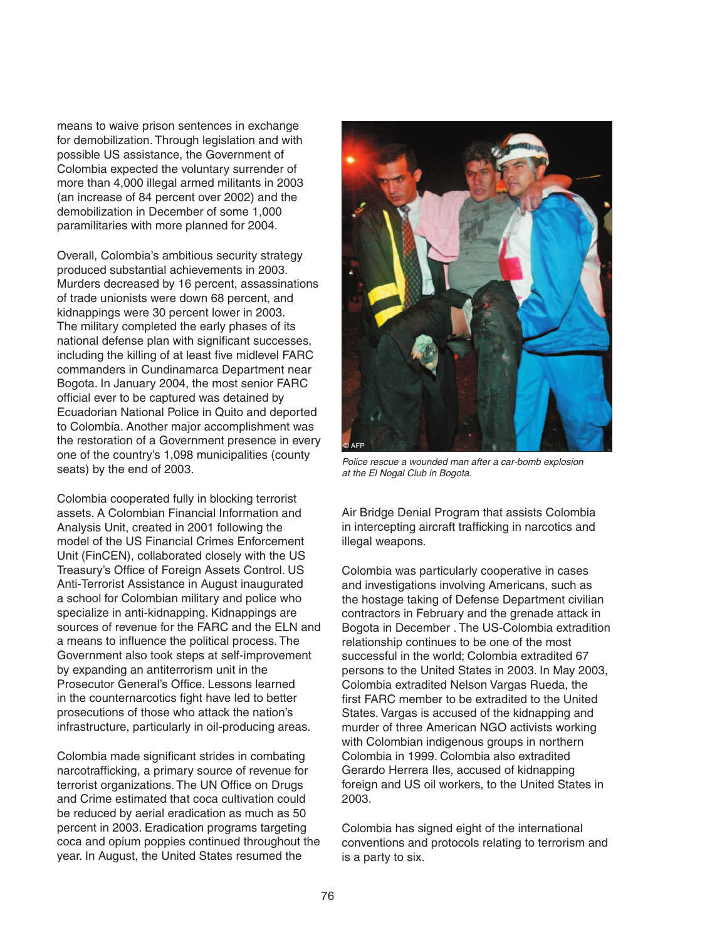means to waive prison sentences in exchange for demobilization. Through legislation and with possible US assistance, the Government of Colombia expected the voluntary surrender of more than 4,000 illegal armed militants in 2003 (an increase of 84 percent over 2002) and the demobilization in December of some 1,000 paramilitaries with more planned for 2004.

Overall, Colombia's ambitious security strategy produced substantial achievements in 2003. Murders decreased by 16 percent, assassinations of trade unionists were down 68 percent, and kidnappings were 30 percent lower in 2003. The military completed the early phases of its national defense plan with significant successes, including the killing of at least five midlevel FARC commanders in Cundinamarca Department near Bogota. In January 2004, the most senior FARC official ever to be captured was detained by Ecuadorian National Police in Quito and deported to Colombia. Another major accomplishment was the restoration of a Government presence in every one of the country's 1,098 municipalities (county seats) by the end of 2003.

Colombia cooperated fully in blocking terrorist assets. A Colombian Financial Information and Analysis Unit, created in 2001 following the model of the US Financial Crimes Enforcement Unit (FinCEN), collaborated closely with the US Treasury's Office of Foreign Assets Control. US Anti-Terrorist Assistance in August inaugurated a school for Colombian military and police who specialize in anti-kidnapping. Kidnappings are sources of revenue for the FARC and the ELN and a means to influence the political process. The Government also took steps at self-improvement by expanding an antiterrorism unit in the Prosecutor General's Office. Lessons learned in the counternarcotics fight have led to better prosecutions of those who attack the nation's infrastructure, particularly in oil-producing areas.

Colombia made significant strides in combating narcotrafficking, a primary source of revenue for terrorist organizations. The UN Office on Drugs and Crime estimated that coca cultivation could be reduced by aerial eradication as much as 50 percent in 2003. Eradication programs targeting coca and opium poppies continued throughout the year. In August, the United States resumed the



Police rescue a wounded man after a car-bomb explosion at the El Nogal Club in Bogota.

Air Bridge Denial Program that assists Colombia in intercepting aircraft trafficking in narcotics and illegal weapons.

Colombia was particularly cooperative in cases and investigations involving Americans, such as the hostage taking of Defense Department civilian contractors in February and the grenade attack in Bogota in December . The US-Colombia extradition relationship continues to be one of the most successful in the world; Colombia extradited 67 persons to the United States in 2003. In May 2003, Colombia extradited Nelson Vargas Rueda, the first FARC member to be extradited to the United States. Vargas is accused of the kidnapping and murder of three American NGO activists working with Colombian indigenous groups in northern Colombia in 1999. Colombia also extradited Gerardo Herrera Iles, accused of kidnapping foreign and US oil workers, to the United States in 2003.

Colombia has signed eight of the international conventions and protocols relating to terrorism and is a party to six.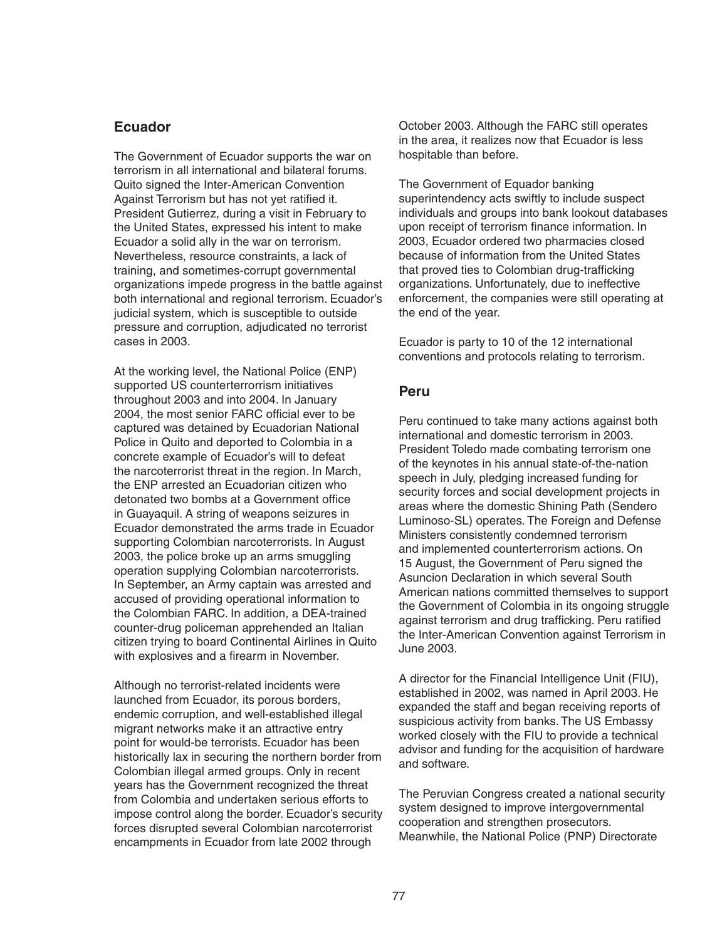## **Ecuador**

The Government of Ecuador supports the war on terrorism in all international and bilateral forums. Quito signed the Inter-American Convention Against Terrorism but has not yet ratified it. President Gutierrez, during a visit in February to the United States, expressed his intent to make Ecuador a solid ally in the war on terrorism. Nevertheless, resource constraints, a lack of training, and sometimes-corrupt governmental organizations impede progress in the battle against both international and regional terrorism. Ecuador's judicial system, which is susceptible to outside pressure and corruption, adjudicated no terrorist cases in 2003.

At the working level, the National Police (ENP) supported US counterterrorrism initiatives throughout 2003 and into 2004. In January 2004, the most senior FARC official ever to be captured was detained by Ecuadorian National Police in Quito and deported to Colombia in a concrete example of Ecuador's will to defeat the narcoterrorist threat in the region. In March, the ENP arrested an Ecuadorian citizen who detonated two bombs at a Government office in Guayaquil. A string of weapons seizures in Ecuador demonstrated the arms trade in Ecuador supporting Colombian narcoterrorists. In August 2003, the police broke up an arms smuggling operation supplying Colombian narcoterrorists. In September, an Army captain was arrested and accused of providing operational information to the Colombian FARC. In addition, a DEA-trained counter-drug policeman apprehended an Italian citizen trying to board Continental Airlines in Quito with explosives and a firearm in November.

Although no terrorist-related incidents were launched from Ecuador, its porous borders, endemic corruption, and well-established illegal migrant networks make it an attractive entry point for would-be terrorists. Ecuador has been historically lax in securing the northern border from Colombian illegal armed groups. Only in recent years has the Government recognized the threat from Colombia and undertaken serious efforts to impose control along the border. Ecuador's security forces disrupted several Colombian narcoterrorist encampments in Ecuador from late 2002 through

October 2003. Although the FARC still operates in the area, it realizes now that Ecuador is less hospitable than before.

The Government of Equador banking superintendency acts swiftly to include suspect individuals and groups into bank lookout databases upon receipt of terrorism finance information. In 2003, Ecuador ordered two pharmacies closed because of information from the United States that proved ties to Colombian drug-trafficking organizations. Unfortunately, due to ineffective enforcement, the companies were still operating at the end of the year.

Ecuador is party to 10 of the 12 international conventions and protocols relating to terrorism.

#### **Peru**

Peru continued to take many actions against both international and domestic terrorism in 2003. President Toledo made combating terrorism one of the keynotes in his annual state-of-the-nation speech in July, pledging increased funding for security forces and social development projects in areas where the domestic Shining Path (Sendero Luminoso-SL) operates. The Foreign and Defense Ministers consistently condemned terrorism and implemented counterterrorism actions. On 15 August, the Government of Peru signed the Asuncion Declaration in which several South American nations committed themselves to support the Government of Colombia in its ongoing struggle against terrorism and drug trafficking. Peru ratified the Inter-American Convention against Terrorism in June 2003.

A director for the Financial Intelligence Unit (FIU), established in 2002, was named in April 2003. He expanded the staff and began receiving reports of suspicious activity from banks. The US Embassy worked closely with the FIU to provide a technical advisor and funding for the acquisition of hardware and software.

The Peruvian Congress created a national security system designed to improve intergovernmental cooperation and strengthen prosecutors. Meanwhile, the National Police (PNP) Directorate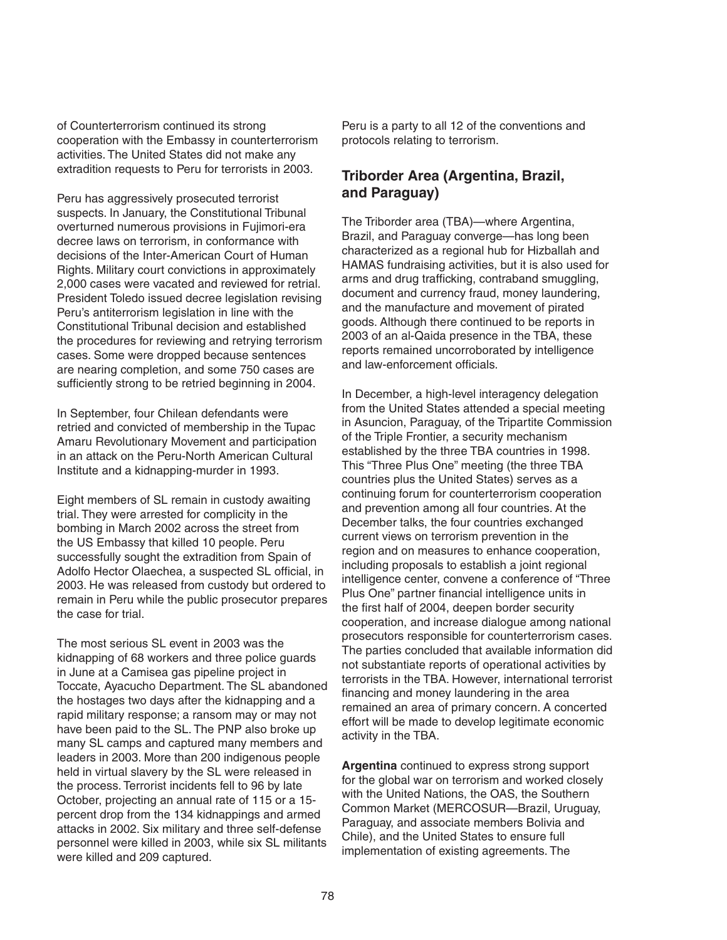of Counterterrorism continued its strong cooperation with the Embassy in counterterrorism activities. The United States did not make any extradition requests to Peru for terrorists in 2003.

Peru has aggressively prosecuted terrorist suspects. In January, the Constitutional Tribunal overturned numerous provisions in Fujimori-era decree laws on terrorism, in conformance with decisions of the Inter-American Court of Human Rights. Military court convictions in approximately 2,000 cases were vacated and reviewed for retrial. President Toledo issued decree legislation revising Peru's antiterrorism legislation in line with the Constitutional Tribunal decision and established the procedures for reviewing and retrying terrorism cases. Some were dropped because sentences are nearing completion, and some 750 cases are sufficiently strong to be retried beginning in 2004.

In September, four Chilean defendants were retried and convicted of membership in the Tupac Amaru Revolutionary Movement and participation in an attack on the Peru-North American Cultural Institute and a kidnapping-murder in 1993.

Eight members of SL remain in custody awaiting trial. They were arrested for complicity in the bombing in March 2002 across the street from the US Embassy that killed 10 people. Peru successfully sought the extradition from Spain of Adolfo Hector Olaechea, a suspected SL official, in 2003. He was released from custody but ordered to remain in Peru while the public prosecutor prepares the case for trial.

The most serious SL event in 2003 was the kidnapping of 68 workers and three police guards in June at a Camisea gas pipeline project in Toccate, Ayacucho Department. The SL abandoned the hostages two days after the kidnapping and a rapid military response; a ransom may or may not have been paid to the SL. The PNP also broke up many SL camps and captured many members and leaders in 2003. More than 200 indigenous people held in virtual slavery by the SL were released in the process. Terrorist incidents fell to 96 by late October, projecting an annual rate of 115 or a 15 percent drop from the 134 kidnappings and armed attacks in 2002. Six military and three self-defense personnel were killed in 2003, while six SL militants were killed and 209 captured.

Peru is a party to all 12 of the conventions and protocols relating to terrorism.

# **Triborder Area (Argentina, Brazil, and Paraguay)**

The Triborder area (TBA)—where Argentina, Brazil, and Paraguay converge—has long been characterized as a regional hub for Hizballah and HAMAS fundraising activities, but it is also used for arms and drug trafficking, contraband smuggling, document and currency fraud, money laundering, and the manufacture and movement of pirated goods. Although there continued to be reports in 2003 of an al-Qaida presence in the TBA, these reports remained uncorroborated by intelligence and law-enforcement officials.

In December, a high-level interagency delegation from the United States attended a special meeting in Asuncion, Paraguay, of the Tripartite Commission of the Triple Frontier, a security mechanism established by the three TBA countries in 1998. This "Three Plus One" meeting (the three TBA countries plus the United States) serves as a continuing forum for counterterrorism cooperation and prevention among all four countries. At the December talks, the four countries exchanged current views on terrorism prevention in the region and on measures to enhance cooperation, including proposals to establish a joint regional intelligence center, convene a conference of "Three Plus One" partner financial intelligence units in the first half of 2004, deepen border security cooperation, and increase dialogue among national prosecutors responsible for counterterrorism cases. The parties concluded that available information did not substantiate reports of operational activities by terrorists in the TBA. However, international terrorist financing and money laundering in the area remained an area of primary concern. A concerted effort will be made to develop legitimate economic activity in the TBA.

**Argentina** continued to express strong support for the global war on terrorism and worked closely with the United Nations, the OAS, the Southern Common Market (MERCOSUR—Brazil, Uruguay, Paraguay, and associate members Bolivia and Chile), and the United States to ensure full implementation of existing agreements. The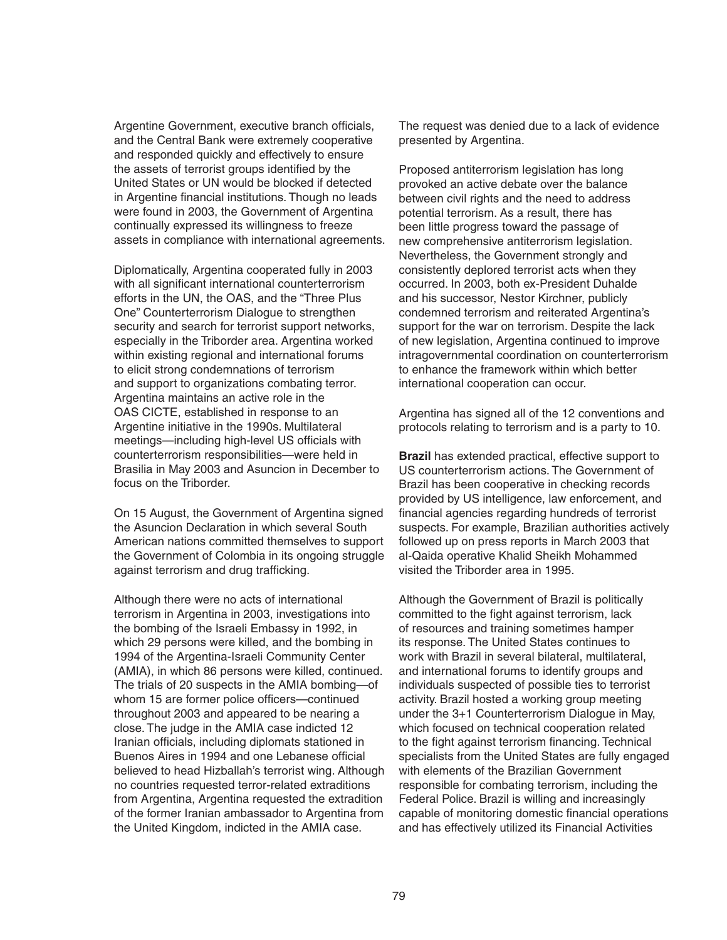Argentine Government, executive branch officials, and the Central Bank were extremely cooperative and responded quickly and effectively to ensure the assets of terrorist groups identified by the United States or UN would be blocked if detected in Argentine financial institutions. Though no leads were found in 2003, the Government of Argentina continually expressed its willingness to freeze assets in compliance with international agreements.

Diplomatically, Argentina cooperated fully in 2003 with all significant international counterterrorism efforts in the UN, the OAS, and the "Three Plus One" Counterterrorism Dialogue to strengthen security and search for terrorist support networks, especially in the Triborder area. Argentina worked within existing regional and international forums to elicit strong condemnations of terrorism and support to organizations combating terror. Argentina maintains an active role in the OAS CICTE, established in response to an Argentine initiative in the 1990s. Multilateral meetings—including high-level US officials with counterterrorism responsibilities—were held in Brasilia in May 2003 and Asuncion in December to focus on the Triborder.

On 15 August, the Government of Argentina signed the Asuncion Declaration in which several South American nations committed themselves to support the Government of Colombia in its ongoing struggle against terrorism and drug trafficking.

Although there were no acts of international terrorism in Argentina in 2003, investigations into the bombing of the Israeli Embassy in 1992, in which 29 persons were killed, and the bombing in 1994 of the Argentina-Israeli Community Center (AMIA), in which 86 persons were killed, continued. The trials of 20 suspects in the AMIA bombing—of whom 15 are former police officers-continued throughout 2003 and appeared to be nearing a close. The judge in the AMIA case indicted 12 Iranian officials, including diplomats stationed in Buenos Aires in 1994 and one Lebanese official believed to head Hizballah's terrorist wing. Although no countries requested terror-related extraditions from Argentina, Argentina requested the extradition of the former Iranian ambassador to Argentina from the United Kingdom, indicted in the AMIA case.

The request was denied due to a lack of evidence presented by Argentina.

Proposed antiterrorism legislation has long provoked an active debate over the balance between civil rights and the need to address potential terrorism. As a result, there has been little progress toward the passage of new comprehensive antiterrorism legislation. Nevertheless, the Government strongly and consistently deplored terrorist acts when they occurred. In 2003, both ex-President Duhalde and his successor, Nestor Kirchner, publicly condemned terrorism and reiterated Argentina's support for the war on terrorism. Despite the lack of new legislation, Argentina continued to improve intragovernmental coordination on counterterrorism to enhance the framework within which better international cooperation can occur.

Argentina has signed all of the 12 conventions and protocols relating to terrorism and is a party to 10.

**Brazil** has extended practical, effective support to US counterterrorism actions. The Government of Brazil has been cooperative in checking records provided by US intelligence, law enforcement, and financial agencies regarding hundreds of terrorist suspects. For example, Brazilian authorities actively followed up on press reports in March 2003 that al-Qaida operative Khalid Sheikh Mohammed visited the Triborder area in 1995.

Although the Government of Brazil is politically committed to the fight against terrorism, lack of resources and training sometimes hamper its response. The United States continues to work with Brazil in several bilateral, multilateral, and international forums to identify groups and individuals suspected of possible ties to terrorist activity. Brazil hosted a working group meeting under the 3+1 Counterterrorism Dialogue in May, which focused on technical cooperation related to the fight against terrorism financing. Technical specialists from the United States are fully engaged with elements of the Brazilian Government responsible for combating terrorism, including the Federal Police. Brazil is willing and increasingly capable of monitoring domestic financial operations and has effectively utilized its Financial Activities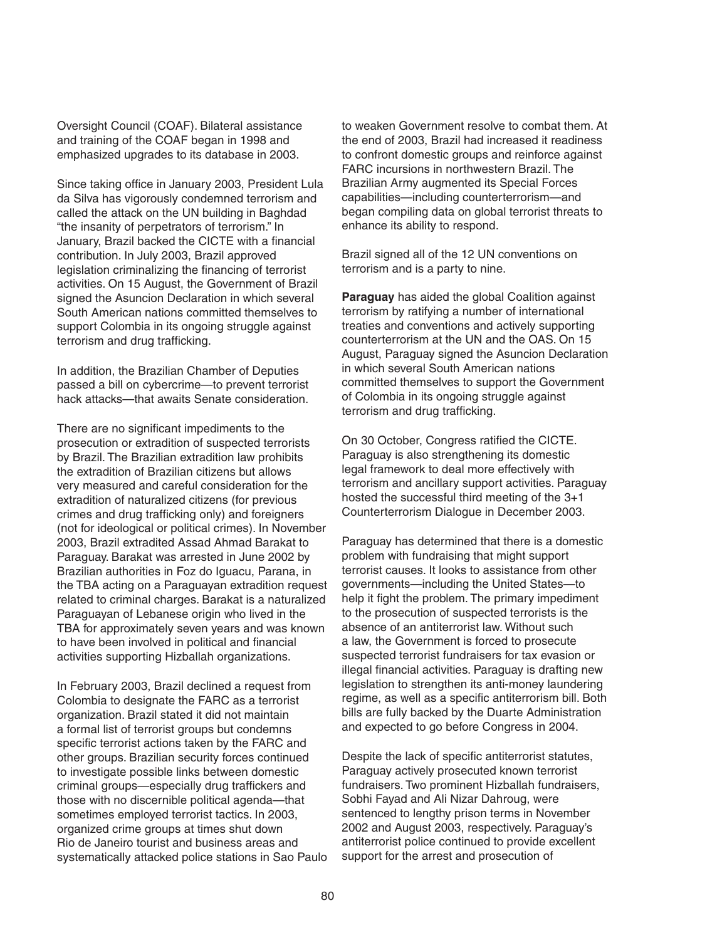Oversight Council (COAF). Bilateral assistance and training of the COAF began in 1998 and emphasized upgrades to its database in 2003.

Since taking office in January 2003, President Lula da Silva has vigorously condemned terrorism and called the attack on the UN building in Baghdad "the insanity of perpetrators of terrorism." In January, Brazil backed the CICTE with a financial contribution. In July 2003, Brazil approved legislation criminalizing the financing of terrorist activities. On 15 August, the Government of Brazil signed the Asuncion Declaration in which several South American nations committed themselves to support Colombia in its ongoing struggle against terrorism and drug trafficking.

In addition, the Brazilian Chamber of Deputies passed a bill on cybercrime—to prevent terrorist hack attacks—that awaits Senate consideration.

There are no significant impediments to the prosecution or extradition of suspected terrorists by Brazil. The Brazilian extradition law prohibits the extradition of Brazilian citizens but allows very measured and careful consideration for the extradition of naturalized citizens (for previous crimes and drug trafficking only) and foreigners (not for ideological or political crimes). In November 2003, Brazil extradited Assad Ahmad Barakat to Paraguay. Barakat was arrested in June 2002 by Brazilian authorities in Foz do Iguacu, Parana, in the TBA acting on a Paraguayan extradition request related to criminal charges. Barakat is a naturalized Paraguayan of Lebanese origin who lived in the TBA for approximately seven years and was known to have been involved in political and financial activities supporting Hizballah organizations.

In February 2003, Brazil declined a request from Colombia to designate the FARC as a terrorist organization. Brazil stated it did not maintain a formal list of terrorist groups but condemns specific terrorist actions taken by the FARC and other groups. Brazilian security forces continued to investigate possible links between domestic criminal groups—especially drug traffickers and those with no discernible political agenda—that sometimes employed terrorist tactics. In 2003, organized crime groups at times shut down Rio de Janeiro tourist and business areas and systematically attacked police stations in Sao Paulo to weaken Government resolve to combat them. At the end of 2003, Brazil had increased it readiness to confront domestic groups and reinforce against FARC incursions in northwestern Brazil. The Brazilian Army augmented its Special Forces capabilities—including counterterrorism—and began compiling data on global terrorist threats to enhance its ability to respond.

Brazil signed all of the 12 UN conventions on terrorism and is a party to nine.

**Paraguay** has aided the global Coalition against terrorism by ratifying a number of international treaties and conventions and actively supporting counterterrorism at the UN and the OAS. On 15 August, Paraguay signed the Asuncion Declaration in which several South American nations committed themselves to support the Government of Colombia in its ongoing struggle against terrorism and drug trafficking.

On 30 October, Congress ratified the CICTE. Paraguay is also strengthening its domestic legal framework to deal more effectively with terrorism and ancillary support activities. Paraguay hosted the successful third meeting of the 3+1 Counterterrorism Dialogue in December 2003.

Paraguay has determined that there is a domestic problem with fundraising that might support terrorist causes. It looks to assistance from other governments—including the United States—to help it fight the problem. The primary impediment to the prosecution of suspected terrorists is the absence of an antiterrorist law. Without such a law, the Government is forced to prosecute suspected terrorist fundraisers for tax evasion or illegal financial activities. Paraguay is drafting new legislation to strengthen its anti-money laundering regime, as well as a specific antiterrorism bill. Both bills are fully backed by the Duarte Administration and expected to go before Congress in 2004.

Despite the lack of specific antiterrorist statutes, Paraguay actively prosecuted known terrorist fundraisers. Two prominent Hizballah fundraisers, Sobhi Fayad and Ali Nizar Dahroug, were sentenced to lengthy prison terms in November 2002 and August 2003, respectively. Paraguay's antiterrorist police continued to provide excellent support for the arrest and prosecution of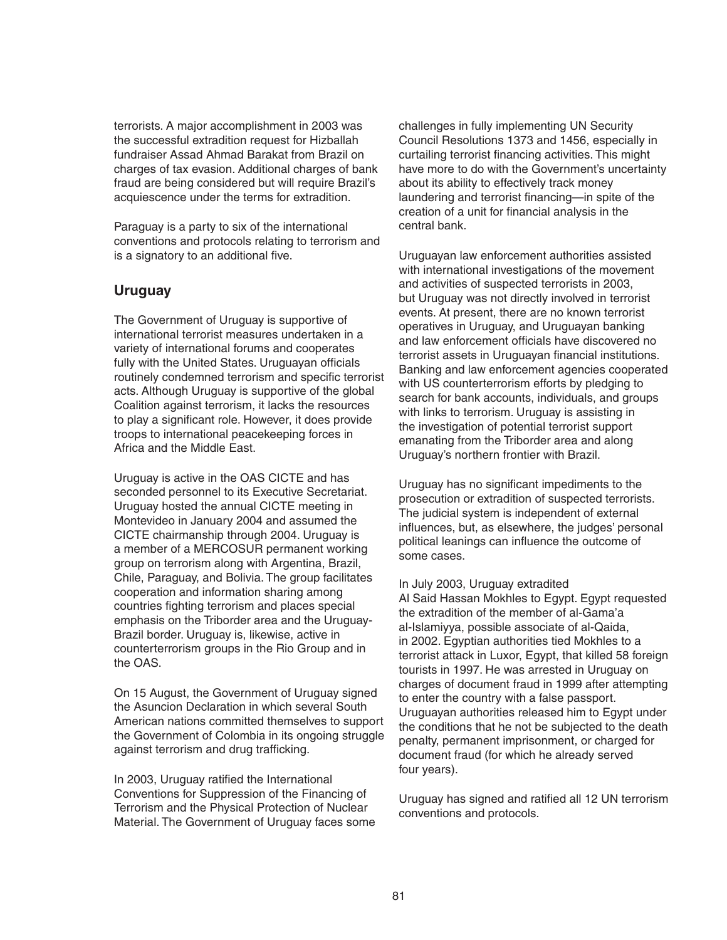terrorists. A major accomplishment in 2003 was the successful extradition request for Hizballah fundraiser Assad Ahmad Barakat from Brazil on charges of tax evasion. Additional charges of bank fraud are being considered but will require Brazil's acquiescence under the terms for extradition.

Paraguay is a party to six of the international conventions and protocols relating to terrorism and is a signatory to an additional five.

## **Uruguay**

The Government of Uruguay is supportive of international terrorist measures undertaken in a variety of international forums and cooperates fully with the United States. Uruguayan officials routinely condemned terrorism and specific terrorist acts. Although Uruguay is supportive of the global Coalition against terrorism, it lacks the resources to play a significant role. However, it does provide troops to international peacekeeping forces in Africa and the Middle East.

Uruguay is active in the OAS CICTE and has seconded personnel to its Executive Secretariat. Uruguay hosted the annual CICTE meeting in Montevideo in January 2004 and assumed the CICTE chairmanship through 2004. Uruguay is a member of a MERCOSUR permanent working group on terrorism along with Argentina, Brazil, Chile, Paraguay, and Bolivia. The group facilitates cooperation and information sharing among countries fighting terrorism and places special emphasis on the Triborder area and the Uruguay-Brazil border. Uruguay is, likewise, active in counterterrorism groups in the Rio Group and in the OAS.

On 15 August, the Government of Uruguay signed the Asuncion Declaration in which several South American nations committed themselves to support the Government of Colombia in its ongoing struggle against terrorism and drug trafficking.

In 2003, Uruguay ratified the International Conventions for Suppression of the Financing of Terrorism and the Physical Protection of Nuclear Material. The Government of Uruguay faces some challenges in fully implementing UN Security Council Resolutions 1373 and 1456, especially in curtailing terrorist financing activities. This might have more to do with the Government's uncertainty about its ability to effectively track money laundering and terrorist financing—in spite of the creation of a unit for financial analysis in the central bank.

Uruguayan law enforcement authorities assisted with international investigations of the movement and activities of suspected terrorists in 2003, but Uruguay was not directly involved in terrorist events. At present, there are no known terrorist operatives in Uruguay, and Uruguayan banking and law enforcement officials have discovered no terrorist assets in Uruguayan financial institutions. Banking and law enforcement agencies cooperated with US counterterrorism efforts by pledging to search for bank accounts, individuals, and groups with links to terrorism. Uruguay is assisting in the investigation of potential terrorist support emanating from the Triborder area and along Uruguay's northern frontier with Brazil.

Uruguay has no significant impediments to the prosecution or extradition of suspected terrorists. The judicial system is independent of external influences, but, as elsewhere, the judges' personal political leanings can influence the outcome of some cases.

In July 2003, Uruguay extradited Al Said Hassan Mokhles to Egypt. Egypt requested the extradition of the member of al-Gama'a al-Islamiyya, possible associate of al-Qaida, in 2002. Egyptian authorities tied Mokhles to a terrorist attack in Luxor, Egypt, that killed 58 foreign tourists in 1997. He was arrested in Uruguay on charges of document fraud in 1999 after attempting to enter the country with a false passport. Uruguayan authorities released him to Egypt under the conditions that he not be subjected to the death penalty, permanent imprisonment, or charged for document fraud (for which he already served four years).

Uruguay has signed and ratified all 12 UN terrorism conventions and protocols.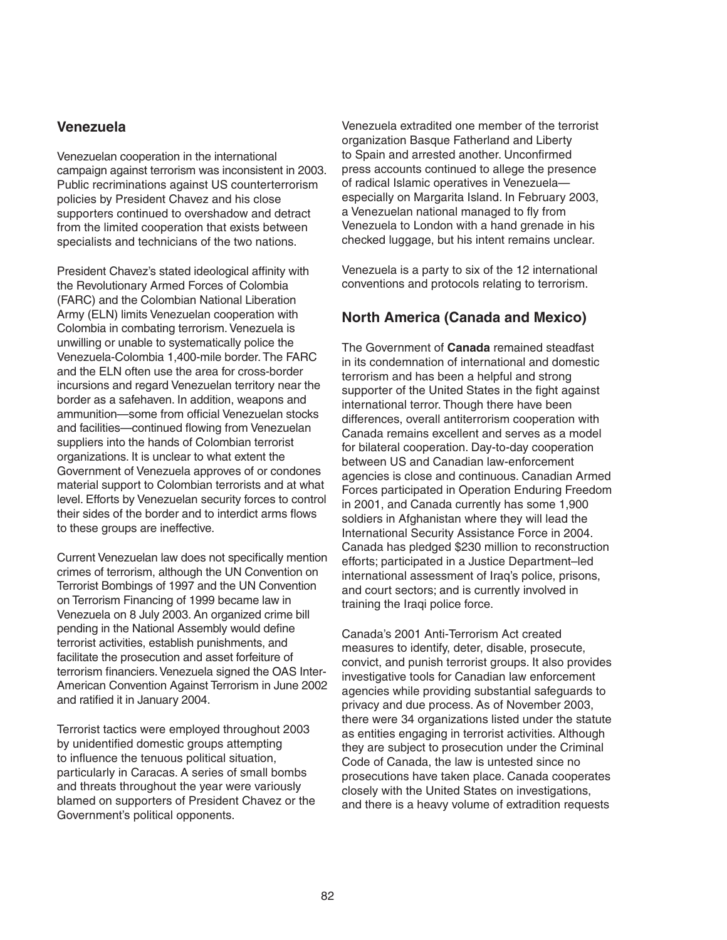## **Venezuela**

Venezuelan cooperation in the international campaign against terrorism was inconsistent in 2003. Public recriminations against US counterterrorism policies by President Chavez and his close supporters continued to overshadow and detract from the limited cooperation that exists between specialists and technicians of the two nations.

President Chavez's stated ideological affinity with the Revolutionary Armed Forces of Colombia (FARC) and the Colombian National Liberation Army (ELN) limits Venezuelan cooperation with Colombia in combating terrorism. Venezuela is unwilling or unable to systematically police the Venezuela-Colombia 1,400-mile border. The FARC and the ELN often use the area for cross-border incursions and regard Venezuelan territory near the border as a safehaven. In addition, weapons and ammunition—some from official Venezuelan stocks and facilities—continued flowing from Venezuelan suppliers into the hands of Colombian terrorist organizations. It is unclear to what extent the Government of Venezuela approves of or condones material support to Colombian terrorists and at what level. Efforts by Venezuelan security forces to control their sides of the border and to interdict arms flows to these groups are ineffective.

Current Venezuelan law does not specifically mention crimes of terrorism, although the UN Convention on Terrorist Bombings of 1997 and the UN Convention on Terrorism Financing of 1999 became law in Venezuela on 8 July 2003. An organized crime bill pending in the National Assembly would define terrorist activities, establish punishments, and facilitate the prosecution and asset forfeiture of terrorism financiers. Venezuela signed the OAS Inter-American Convention Against Terrorism in June 2002 and ratified it in January 2004.

Terrorist tactics were employed throughout 2003 by unidentified domestic groups attempting to influence the tenuous political situation, particularly in Caracas. A series of small bombs and threats throughout the year were variously blamed on supporters of President Chavez or the Government's political opponents.

Venezuela extradited one member of the terrorist organization Basque Fatherland and Liberty to Spain and arrested another. Unconfirmed press accounts continued to allege the presence of radical Islamic operatives in Venezuela especially on Margarita Island. In February 2003, a Venezuelan national managed to fly from Venezuela to London with a hand grenade in his checked luggage, but his intent remains unclear.

Venezuela is a party to six of the 12 international conventions and protocols relating to terrorism.

# **North America (Canada and Mexico)**

The Government of **Canada** remained steadfast in its condemnation of international and domestic terrorism and has been a helpful and strong supporter of the United States in the fight against international terror. Though there have been differences, overall antiterrorism cooperation with Canada remains excellent and serves as a model for bilateral cooperation. Day-to-day cooperation between US and Canadian law-enforcement agencies is close and continuous. Canadian Armed Forces participated in Operation Enduring Freedom in 2001, and Canada currently has some 1,900 soldiers in Afghanistan where they will lead the International Security Assistance Force in 2004. Canada has pledged \$230 million to reconstruction efforts; participated in a Justice Department–led international assessment of Iraq's police, prisons, and court sectors; and is currently involved in training the Iraqi police force.

Canada's 2001 Anti-Terrorism Act created measures to identify, deter, disable, prosecute, convict, and punish terrorist groups. It also provides investigative tools for Canadian law enforcement agencies while providing substantial safeguards to privacy and due process. As of November 2003, there were 34 organizations listed under the statute as entities engaging in terrorist activities. Although they are subject to prosecution under the Criminal Code of Canada, the law is untested since no prosecutions have taken place. Canada cooperates closely with the United States on investigations, and there is a heavy volume of extradition requests